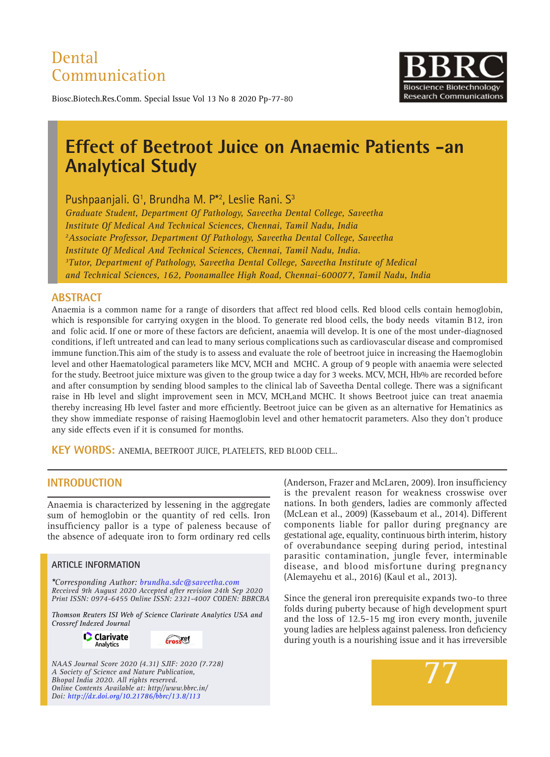# Dental Communication



Biosc.Biotech.Res.Comm. Special Issue Vol 13 No 8 2020 Pp-77-80

# **Effect of Beetroot Juice on Anaemic Patients -an Analytical Study**

Pushpaanjali. G<sup>1</sup>, Brundha M. P<sup>\*2</sup>, Leslie Rani. S<sup>3</sup>

*Graduate Student, Department Of Pathology, Saveetha Dental College, Saveetha Institute Of Medical And Technical Sciences, Chennai, Tamil Nadu, India 2 Associate Professor, Department Of Pathology, Saveetha Dental College, Saveetha Institute Of Medical And Technical Sciences, Chennai, Tamil Nadu, India. 3 Tutor, Department of Pathology, Saveetha Dental College, Saveetha Institute of Medical and Technical Sciences, 162, Poonamallee High Road, Chennai-600077, Tamil Nadu, India*

#### **ABSTRACT**

Anaemia is a common name for a range of disorders that affect red blood cells. Red blood cells contain hemoglobin, which is responsible for carrying oxygen in the blood. To generate red blood cells, the body needs vitamin B12, iron and folic acid. If one or more of these factors are deficient, anaemia will develop. It is one of the most under-diagnosed conditions, if left untreated and can lead to many serious complications such as cardiovascular disease and compromised immune function.This aim of the study is to assess and evaluate the role of beetroot juice in increasing the Haemoglobin level and other Haematological parameters like MCV, MCH and MCHC. A group of 9 people with anaemia were selected for the study. Beetroot juice mixture was given to the group twice a day for 3 weeks. MCV, MCH, Hb% are recorded before and after consumption by sending blood samples to the clinical lab of Saveetha Dental college. There was a significant raise in Hb level and slight improvement seen in MCV, MCH,and MCHC. It shows Beetroot juice can treat anaemia thereby increasing Hb level faster and more efficiently. Beetroot juice can be given as an alternative for Hematinics as they show immediate response of raising Haemoglobin level and other hematocrit parameters. Also they don't produce any side effects even if it is consumed for months.

**KEY WORDS:** Anemia, Beetroot juice, Platelets, Red blood cell..

### **INTRODUCTION**

Anaemia is characterized by lessening in the aggregate sum of hemoglobin or the quantity of red cells. Iron insufficiency pallor is a type of paleness because of the absence of adequate iron to form ordinary red cells

#### **ARTICLE INFORMATION**

*\*Corresponding Author: brundha.sdc@saveetha.com Received 9th August 2020 Accepted after revision 24th Sep 2020 Print ISSN: 0974-6455 Online ISSN: 2321-4007 CODEN: BBRCBA*

*Thomson Reuters ISI Web of Science Clarivate Analytics USA and Crossref Indexed Journal*

> **C** Clarivate Analytics



*NAAS Journal Score 2020 (4.31) SJIF: 2020 (7.728) A Society of Science and Nature Publication, Bhopal India 2020. All rights reserved. Online Contents Available at: http//www.bbrc.in/ Doi: http://dx.doi.org/10.21786/bbrc/13.8/113*

(Anderson, Frazer and McLaren, 2009). Iron insufficiency is the prevalent reason for weakness crosswise over nations. In both genders, ladies are commonly affected (McLean et al., 2009) (Kassebaum et al., 2014). Different components liable for pallor during pregnancy are gestational age, equality, continuous birth interim, history of overabundance seeping during period, intestinal parasitic contamination, jungle fever, interminable disease, and blood misfortune during pregnancy (Alemayehu et al., 2016) (Kaul et al., 2013).

Since the general iron prerequisite expands two-to three folds during puberty because of high development spurt and the loss of 12.5-15 mg iron every month, juvenile young ladies are helpless against paleness. Iron deficiency during youth is a nourishing issue and it has irreversible

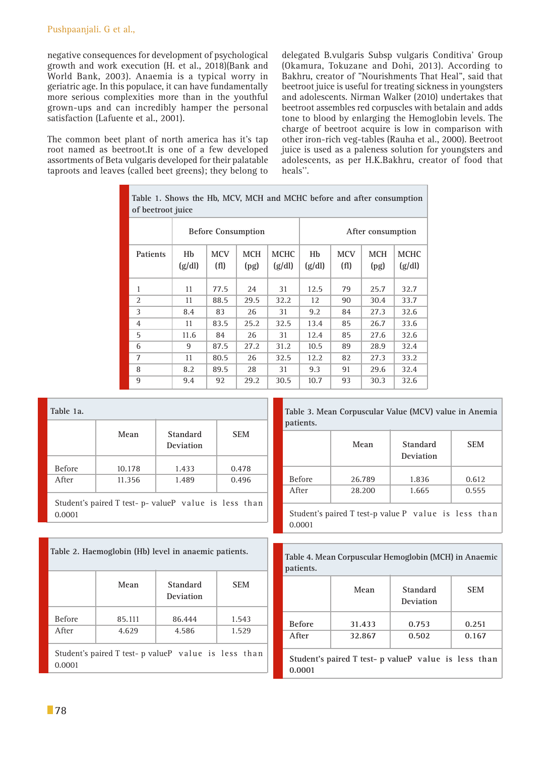negative consequences for development of psychological growth and work execution (H. et al., 2018)(Bank and World Bank, 2003). Anaemia is a typical worry in geriatric age. In this populace, it can have fundamentally more serious complexities more than in the youthful grown-ups and can incredibly hamper the personal satisfaction (Lafuente et al., 2001).

The common beet plant of north america has it's tap root named as beetroot.It is one of a few developed assortments of Beta vulgaris developed for their palatable taproots and leaves (called beet greens); they belong to delegated B.vulgaris Subsp vulgaris Conditiva' Group (Okamura, Tokuzane and Dohi, 2013). According to Bakhru, creator of "Nourishments That Heal", said that beetroot juice is useful for treating sickness in youngsters and adolescents. Nirman Walker (2010) undertakes that beetroot assembles red corpuscles with betalain and adds tone to blood by enlarging the Hemoglobin levels. The charge of beetroot acquire is low in comparison with other iron-rich veg-tables (Rauha et al., 2000). Beetroot juice is used as a paleness solution for youngsters and adolescents, as per H.K.Bakhru, creator of food that heals''.

| Table 1. Shows the Hb, MCV, MCH and MCHC before and after consumption<br>of beetroot juice |                           |                    |                    |                       |              |                    |                    |                       |
|--------------------------------------------------------------------------------------------|---------------------------|--------------------|--------------------|-----------------------|--------------|--------------------|--------------------|-----------------------|
|                                                                                            | <b>Before Consumption</b> |                    |                    | After consumption     |              |                    |                    |                       |
| Patients                                                                                   | Hb<br>(g/dl)              | <b>MCV</b><br>(f1) | <b>MCH</b><br>(pg) | <b>MCHC</b><br>(g/dl) | Hb<br>(g/dl) | <b>MCV</b><br>(f1) | <b>MCH</b><br>(pg) | <b>MCHC</b><br>(g/dl) |
| 1                                                                                          | 11                        | 77.5               | 24                 | 31                    | 12.5         | 79                 | 25.7               | 32.7                  |
| $\mathfrak{D}$                                                                             | 11                        | 88.5               | 29.5               | 32.2                  | 12           | 90                 | 30.4               | 33.7                  |
| 3                                                                                          | 8.4                       | 83                 | 26                 | 31                    | 9.2          | 84                 | 27.3               | 32.6                  |
| $\overline{4}$                                                                             | 11                        | 83.5               | 25.2               | 32.5                  | 13.4         | 85                 | 26.7               | 33.6                  |
| 5                                                                                          | 11.6                      | 84                 | 26                 | 31                    | 12.4         | 85                 | 27.6               | 32.6                  |
| 6                                                                                          | 9                         | 87.5               | 27.2               | 31.2                  | 10.5         | 89                 | 28.9               | 32.4                  |
| 7                                                                                          | 11                        | 80.5               | 26                 | 32.5                  | 12.2         | 82                 | 27.3               | 33.2                  |
| 8                                                                                          | 8.2                       | 89.5               | 28                 | 31                    | 9.3          | 91                 | 29.6               | 32.4                  |
| 9                                                                                          | 9.4                       | 92                 | 29.2               | 30.5                  | 10.7         | 93                 | 30.3               | 32.6                  |

|               | Mean   | <b>Standard</b><br>Deviation | <b>SEM</b> |
|---------------|--------|------------------------------|------------|
| <b>Before</b> | 10.178 | 1.433                        | 0.478      |
| After         | 11.356 | 1.489                        | 0.496      |

| patients.     |        |                       |            |  |  |
|---------------|--------|-----------------------|------------|--|--|
|               | Mean   | Standard<br>Deviation | <b>SEM</b> |  |  |
| <b>Before</b> | 26.789 | 1.836                 | 0.612      |  |  |
| After         | 28.200 | 1.665                 | 0.555      |  |  |
|               |        |                       |            |  |  |

**Table 3. Mean Corpuscular Value (MCV) value in Anemia** 

Student's paired T test-p value P value is less than 0.0001

| Table 2. Haemoglobin (Hb) level in anaemic patients.            |                 |                       |                |  |
|-----------------------------------------------------------------|-----------------|-----------------------|----------------|--|
|                                                                 | Mean            | Standard<br>Deviation | <b>SEM</b>     |  |
| <b>Before</b><br>After                                          | 85.111<br>4.629 | 86.444<br>4.586       | 1.543<br>1.529 |  |
| Student's paired T test- p value P value is less than<br>0.0001 |                 |                       |                |  |

|           | Table 4. Mean Corpuscular Hemoglobin (MCH) in Anaemic |
|-----------|-------------------------------------------------------|
| patients. |                                                       |

|               | Mean   | Standard<br>Deviation                                | <b>SEM</b> |
|---------------|--------|------------------------------------------------------|------------|
| <b>Before</b> | 31.433 | 0.753                                                | 0.251      |
| After         | 32.867 | 0.502                                                | 0.167      |
| 0.0001        |        | Student's paired T test- p valueP value is less than |            |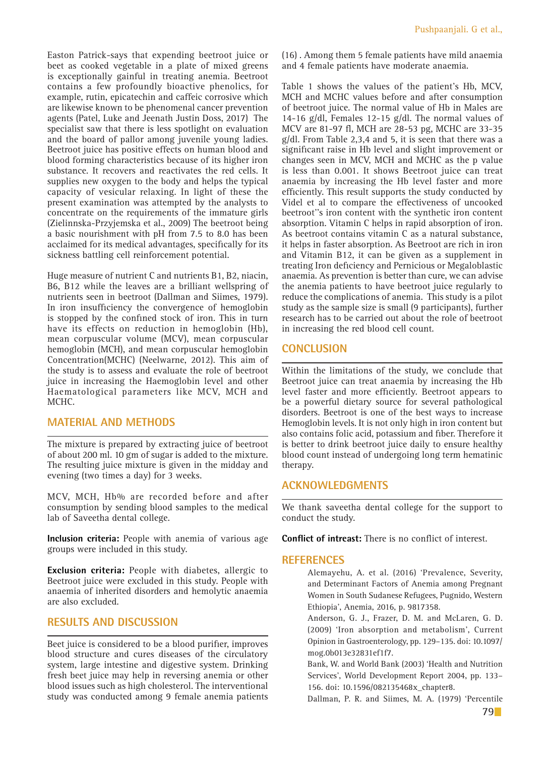Easton Patrick-says that expending beetroot juice or beet as cooked vegetable in a plate of mixed greens is exceptionally gainful in treating anemia. Beetroot contains a few profoundly bioactive phenolics, for example, rutin, epicatechin and caffeic corrosive which are likewise known to be phenomenal cancer prevention agents (Patel, Luke and Jeenath Justin Doss, 2017) The specialist saw that there is less spotlight on evaluation and the board of pallor among juvenile young ladies. Beetroot juice has positive effects on human blood and blood forming characteristics because of its higher iron substance. It recovers and reactivates the red cells. It supplies new oxygen to the body and helps the typical capacity of vesicular relaxing. In light of these the present examination was attempted by the analysts to concentrate on the requirements of the immature girls (Zielinnska-Przyjemska et al., 2009) The beetroot being a basic nourishment with pH from 7.5 to 8.0 has been acclaimed for its medical advantages, specifically for its sickness battling cell reinforcement potential.

Huge measure of nutrient C and nutrients B1, B2, niacin, B6, B12 while the leaves are a brilliant wellspring of nutrients seen in beetroot (Dallman and Siimes, 1979). In iron insufficiency the convergence of hemoglobin is stopped by the confined stock of iron. This in turn have its effects on reduction in hemoglobin (Hb), mean corpuscular volume (MCV), mean corpuscular hemoglobin (MCH), and mean corpuscular hemoglobin Concentration(MCHC) (Neelwarne, 2012). This aim of the study is to assess and evaluate the role of beetroot juice in increasing the Haemoglobin level and other Haematological parameters like MCV, MCH and MCH<sub>C</sub>

#### **MATERIAL AND METHODS**

The mixture is prepared by extracting juice of beetroot of about 200 ml. 10 gm of sugar is added to the mixture. The resulting juice mixture is given in the midday and evening (two times a day) for 3 weeks.

MCV, MCH, Hb% are recorded before and after consumption by sending blood samples to the medical lab of Saveetha dental college.

**Inclusion criteria:** People with anemia of various age groups were included in this study.

**Exclusion criteria:** People with diabetes, allergic to Beetroot juice were excluded in this study. People with anaemia of inherited disorders and hemolytic anaemia are also excluded.

# **RESULTS AND DISCUSSION**

Beet juice is considered to be a blood purifier, improves blood structure and cures diseases of the circulatory system, large intestine and digestive system. Drinking fresh beet juice may help in reversing anemia or other blood issues such as high cholesterol. The interventional study was conducted among 9 female anemia patients (16) . Among them 5 female patients have mild anaemia and 4 female patients have moderate anaemia.

Table 1 shows the values of the patient's Hb, MCV, MCH and MCHC values before and after consumption of beetroot juice. The normal value of Hb in Males are 14-16 g/dl, Females 12-15 g/dl. The normal values of MCV are 81-97 fl, MCH are 28-53 pg, MCHC are 33-35 g/dl. From Table 2,3,4 and 5, it is seen that there was a significant raise in Hb level and slight improvement or changes seen in MCV, MCH and MCHC as the p value is less than 0.001. It shows Beetroot juice can treat anaemia by increasing the Hb level faster and more efficiently. This result supports the study conducted by Videl et al to compare the effectiveness of uncooked beetroot''s iron content with the synthetic iron content absorption. Vitamin C helps in rapid absorption of iron. As beetroot contains vitamin C as a natural substance, it helps in faster absorption. As Beetroot are rich in iron and Vitamin B12, it can be given as a supplement in treating Iron deficiency and Pernicious or Megaloblastic anaemia. As prevention is better than cure, we can advise the anemia patients to have beetroot juice regularly to reduce the complications of anemia. This study is a pilot study as the sample size is small (9 participants), further research has to be carried out about the role of beetroot in increasing the red blood cell count.

## **Conclusion**

Within the limitations of the study, we conclude that Beetroot juice can treat anaemia by increasing the Hb level faster and more efficiently. Beetroot appears to be a powerful dietary source for several pathological disorders. Beetroot is one of the best ways to increase Hemoglobin levels. It is not only high in iron content but also contains folic acid, potassium and fiber. Therefore it is better to drink beetroot juice daily to ensure healthy blood count instead of undergoing long term hematinic therapy.

#### **Acknowledgments**

We thank saveetha dental college for the support to conduct the study.

**Conflict of intreast:** There is no conflict of interest.

#### **References**

Alemayehu, A. et al. (2016) 'Prevalence, Severity, and Determinant Factors of Anemia among Pregnant Women in South Sudanese Refugees, Pugnido, Western Ethiopia', Anemia, 2016, p. 9817358.

Anderson, G. J., Frazer, D. M. and McLaren, G. D. (2009) 'Iron absorption and metabolism', Current Opinion in Gastroenterology, pp. 129–135. doi: 10.1097/ mog.0b013e32831ef1f7.

Bank, W. and World Bank (2003) 'Health and Nutrition Services', World Development Report 2004, pp. 133– 156. doi: 10.1596/082135468x\_chapter8.

Dallman, P. R. and Siimes, M. A. (1979) 'Percentile